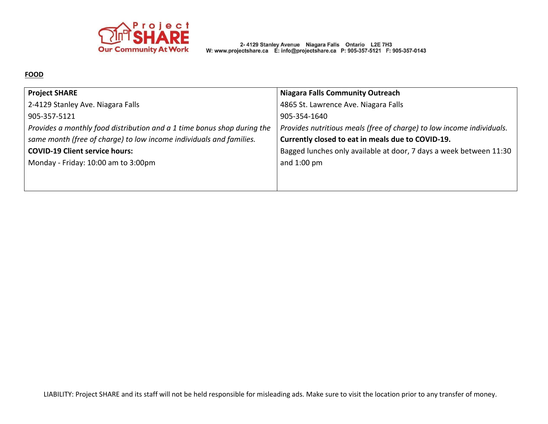

2-4129 Stanley Avenue Niagara Falls Ontario L2E 7H3<br>W: www.projectshare.ca E: info@projectshare.ca P: 905-357-5121 F: 905-357-0143

### **FOOD**

| <b>Project SHARE</b>                                                    | <b>Niagara Falls Community Outreach</b>                               |
|-------------------------------------------------------------------------|-----------------------------------------------------------------------|
| 2-4129 Stanley Ave. Niagara Falls                                       | 4865 St. Lawrence Ave. Niagara Falls                                  |
| 905-357-5121                                                            | 905-354-1640                                                          |
| Provides a monthly food distribution and a 1 time bonus shop during the | Provides nutritious meals (free of charge) to low income individuals. |
| same month (free of charge) to low income individuals and families.     | Currently closed to eat in meals due to COVID-19.                     |
| <b>COVID-19 Client service hours:</b>                                   | Bagged lunches only available at door, 7 days a week between 11:30    |
| Monday - Friday: 10:00 am to 3:00pm                                     | and $1:00$ pm                                                         |
|                                                                         |                                                                       |
|                                                                         |                                                                       |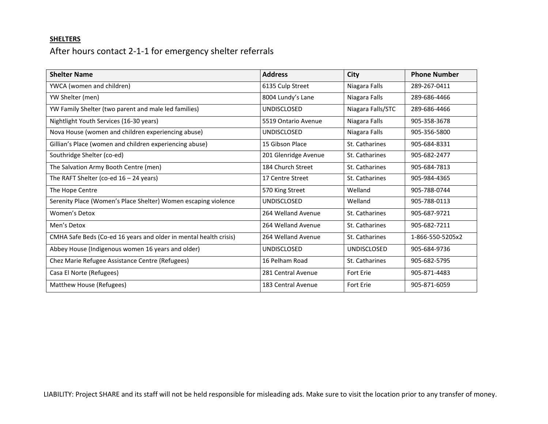### **SHELTERS**

## After hours contact 2-1-1 for emergency shelter referrals

| <b>Shelter Name</b>                                               | <b>Address</b>       | <b>City</b>        | <b>Phone Number</b> |
|-------------------------------------------------------------------|----------------------|--------------------|---------------------|
| YWCA (women and children)                                         | 6135 Culp Street     | Niagara Falls      | 289-267-0411        |
| YW Shelter (men)                                                  | 8004 Lundy's Lane    | Niagara Falls      | 289-686-4466        |
| YW Family Shelter (two parent and male led families)              | <b>UNDISCLOSED</b>   | Niagara Falls/STC  | 289-686-4466        |
| Nightlight Youth Services (16-30 years)                           | 5519 Ontario Avenue  | Niagara Falls      | 905-358-3678        |
| Nova House (women and children experiencing abuse)                | <b>UNDISCLOSED</b>   | Niagara Falls      | 905-356-5800        |
| Gillian's Place (women and children experiencing abuse)           | 15 Gibson Place      | St. Catharines     | 905-684-8331        |
| Southridge Shelter (co-ed)                                        | 201 Glenridge Avenue | St. Catharines     | 905-682-2477        |
| The Salvation Army Booth Centre (men)                             | 184 Church Street    | St. Catharines     | 905-684-7813        |
| The RAFT Shelter (co-ed $16 - 24$ years)                          | 17 Centre Street     | St. Catharines     | 905-984-4365        |
| The Hope Centre                                                   | 570 King Street      | Welland            | 905-788-0744        |
| Serenity Place (Women's Place Shelter) Women escaping violence    | <b>UNDISCLOSED</b>   | Welland            | 905-788-0113        |
| Women's Detox                                                     | 264 Welland Avenue   | St. Catharines     | 905-687-9721        |
| Men's Detox                                                       | 264 Welland Avenue   | St. Catharines     | 905-682-7211        |
| CMHA Safe Beds (Co-ed 16 years and older in mental health crisis) | 264 Welland Avenue   | St. Catharines     | 1-866-550-5205x2    |
| Abbey House (Indigenous women 16 years and older)                 | <b>UNDISCLOSED</b>   | <b>UNDISCLOSED</b> | 905-684-9736        |
| Chez Marie Refugee Assistance Centre (Refugees)                   | 16 Pelham Road       | St. Catharines     | 905-682-5795        |
| Casa El Norte (Refugees)                                          | 281 Central Avenue   | <b>Fort Erie</b>   | 905-871-4483        |
| Matthew House (Refugees)                                          | 183 Central Avenue   | Fort Erie          | 905-871-6059        |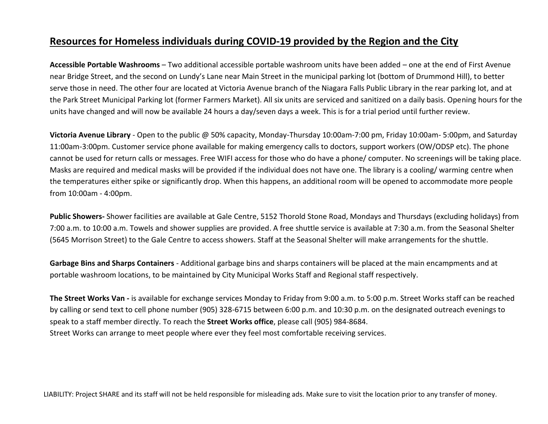## **Resources for Homeless individuals during COVID-19 provided by the Region and the City**

**Accessible Portable Washrooms** – Two additional accessible portable washroom units have been added – one at the end of First Avenue near Bridge Street, and the second on Lundy's Lane near Main Street in the municipal parking lot (bottom of Drummond Hill), to better serve those in need. The other four are located at Victoria Avenue branch of the Niagara Falls Public Library in the rear parking lot, and at the Park Street Municipal Parking lot (former Farmers Market). All six units are serviced and sanitized on a daily basis. Opening hours for the units have changed and will now be available 24 hours a day/seven days a week. This is for a trial period until further review.

**Victoria Avenue Library** - Open to the public @ 50% capacity, Monday-Thursday 10:00am-7:00 pm, Friday 10:00am- 5:00pm, and Saturday 11:00am-3:00pm. Customer service phone available for making emergency calls to doctors, support workers (OW/ODSP etc). The phone cannot be used for return calls or messages. Free WIFI access for those who do have a phone/ computer. No screenings will be taking place. Masks are required and medical masks will be provided if the individual does not have one. The library is a cooling/ warming centre when the temperatures either spike or significantly drop. When this happens, an additional room will be opened to accommodate more people from 10:00am - 4:00pm.

**Public Showers-** Shower facilities are available at Gale Centre, 5152 Thorold Stone Road, Mondays and Thursdays (excluding holidays) from 7:00 a.m. to 10:00 a.m. Towels and shower supplies are provided. A free shuttle service is available at 7:30 a.m. from the Seasonal Shelter (5645 Morrison Street) to the Gale Centre to access showers. Staff at the Seasonal Shelter will make arrangements for the shuttle.

**Garbage Bins and Sharps Containers** - Additional garbage bins and sharps containers will be placed at the main encampments and at portable washroom locations, to be maintained by City Municipal Works Staff and Regional staff respectively.

**The Street Works Van -** is available for exchange services Monday to Friday from 9:00 a.m. to 5:00 p.m. Street Works staff can be reached by calling or send text to cell phone number (905) 328-6715 between 6:00 p.m. and 10:30 p.m. on the designated outreach evenings to speak to a staff member directly. To reach the **Street Works office**, please call (905) 984-8684. Street Works can arrange to meet people where ever they feel most comfortable receiving services.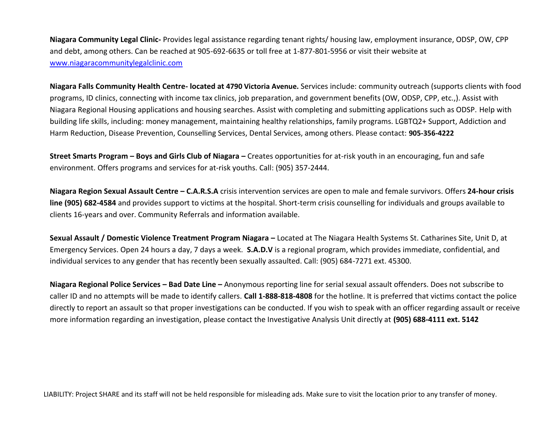**Niagara Community Legal Clinic-** Provides legal assistance regarding tenant rights/ housing law, employment insurance, ODSP, OW, CPP and debt, among others. Can be reached at 905-692-6635 or toll free at 1-877-801-5956 or visit their website at [www.niagaracommunitylegalclinic.com](http://www.niagaracommunitylegalclinic.com/)

**Niagara Falls Community Health Centre- located at 4790 Victoria Avenue.** Services include: community outreach (supports clients with food programs, ID clinics, connecting with income tax clinics, job preparation, and government benefits (OW, ODSP, CPP, etc.,). Assist with Niagara Regional Housing applications and housing searches. Assist with completing and submitting applications such as ODSP. Help with building life skills, including: money management, maintaining healthy relationships, family programs. LGBTQ2+ Support, Addiction and Harm Reduction, Disease Prevention, Counselling Services, Dental Services, among others. Please contact: **905-356-4222**

**Street Smarts Program – Boys and Girls Club of Niagara –** Creates opportunities for at-risk youth in an encouraging, fun and safe environment. Offers programs and services for at-risk youths. Call: (905) 357-2444.

**Niagara Region Sexual Assault Centre – C.A.R.S.A** crisis intervention services are open to male and female survivors. Offers **24-hour crisis line (905) 682-4584** and provides support to victims at the hospital. Short-term crisis counselling for individuals and groups available to clients 16-years and over. Community Referrals and information available.

**Sexual Assault / Domestic Violence Treatment Program Niagara –** Located at The Niagara Health Systems St. Catharines Site, Unit D, at Emergency Services. Open 24 hours a day, 7 days a week. **S.A.D.V** is a regional program, which provides immediate, confidential, and individual services to any gender that has recently been sexually assaulted. Call: (905) 684-7271 ext. 45300.

**Niagara Regional Police Services – Bad Date Line –** Anonymous reporting line for serial sexual assault offenders. Does not subscribe to caller ID and no attempts will be made to identify callers. **Call 1-888-818-4808** for the hotline. It is preferred that victims contact the police directly to report an assault so that proper investigations can be conducted. If you wish to speak with an officer regarding assault or receive more information regarding an investigation, please contact the Investigative Analysis Unit directly at **(905) 688-4111 ext. 5142**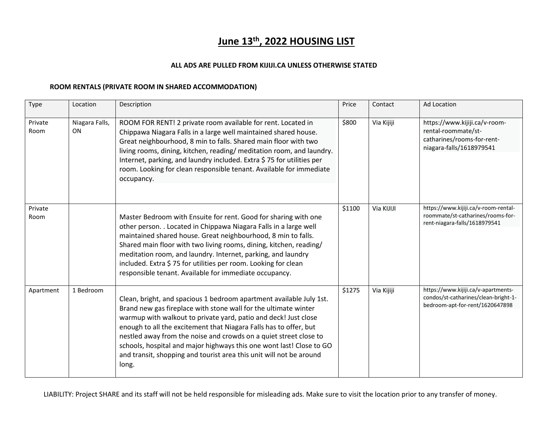# **June 13th, 2022 HOUSING LIST**

#### **ALL ADS ARE PULLED FROM KIJIJI.CA UNLESS OTHERWISE STATED**

#### **ROOM RENTALS (PRIVATE ROOM IN SHARED ACCOMMODATION)**

| Type            | Location                    | Description                                                                                                                                                                                                                                                                                                                                                                                                                                                                                                 | Price  | Contact    | <b>Ad Location</b>                                                                                             |
|-----------------|-----------------------------|-------------------------------------------------------------------------------------------------------------------------------------------------------------------------------------------------------------------------------------------------------------------------------------------------------------------------------------------------------------------------------------------------------------------------------------------------------------------------------------------------------------|--------|------------|----------------------------------------------------------------------------------------------------------------|
| Private<br>Room | Niagara Falls,<br><b>ON</b> | ROOM FOR RENT! 2 private room available for rent. Located in<br>Chippawa Niagara Falls in a large well maintained shared house.<br>Great neighbourhood, 8 min to falls. Shared main floor with two<br>living rooms, dining, kitchen, reading/ meditation room, and laundry.<br>Internet, parking, and laundry included. Extra \$75 for utilities per<br>room. Looking for clean responsible tenant. Available for immediate<br>occupancy.                                                                   | \$800  | Via Kijiji | https://www.kijiji.ca/v-room-<br>rental-roommate/st-<br>catharines/rooms-for-rent-<br>niagara-falls/1618979541 |
| Private<br>Room |                             | Master Bedroom with Ensuite for rent. Good for sharing with one<br>other person. . Located in Chippawa Niagara Falls in a large well<br>maintained shared house. Great neighbourhood, 8 min to falls.<br>Shared main floor with two living rooms, dining, kitchen, reading/<br>meditation room, and laundry. Internet, parking, and laundry<br>included. Extra \$75 for utilities per room. Looking for clean<br>responsible tenant. Available for immediate occupancy.                                     | \$1100 | Via KIJIJI | https://www.kijiji.ca/v-room-rental-<br>roommate/st-catharines/rooms-for-<br>rent-niagara-falls/1618979541     |
| Apartment       | 1 Bedroom                   | Clean, bright, and spacious 1 bedroom apartment available July 1st.<br>Brand new gas fireplace with stone wall for the ultimate winter<br>warmup with walkout to private yard, patio and deck! Just close<br>enough to all the excitement that Niagara Falls has to offer, but<br>nestled away from the noise and crowds on a quiet street close to<br>schools, hospital and major highways this one wont last! Close to GO<br>and transit, shopping and tourist area this unit will not be around<br>long. | \$1275 | Via Kijiji | https://www.kijiji.ca/v-apartments-<br>condos/st-catharines/clean-bright-1-<br>bedroom-apt-for-rent/1620647898 |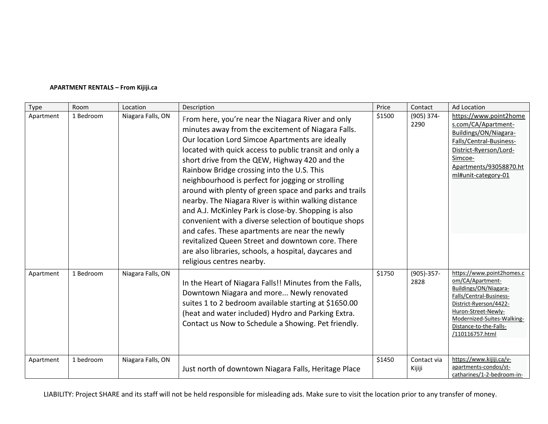#### **APARTMENT RENTALS – From Kijiji.ca**

| Type      | Room      | Location          | Description                                                                                                                                                                                                                                                                                                                                                                                                                                                                                                                                                                                                                                                                                                                                                                                              | Price  | Contact               | Ad Location                                                                                                                                                                                                                   |
|-----------|-----------|-------------------|----------------------------------------------------------------------------------------------------------------------------------------------------------------------------------------------------------------------------------------------------------------------------------------------------------------------------------------------------------------------------------------------------------------------------------------------------------------------------------------------------------------------------------------------------------------------------------------------------------------------------------------------------------------------------------------------------------------------------------------------------------------------------------------------------------|--------|-----------------------|-------------------------------------------------------------------------------------------------------------------------------------------------------------------------------------------------------------------------------|
| Apartment | 1 Bedroom | Niagara Falls, ON | From here, you're near the Niagara River and only<br>minutes away from the excitement of Niagara Falls.<br>Our location Lord Simcoe Apartments are ideally<br>located with quick access to public transit and only a<br>short drive from the QEW, Highway 420 and the<br>Rainbow Bridge crossing into the U.S. This<br>neighbourhood is perfect for jogging or strolling<br>around with plenty of green space and parks and trails<br>nearby. The Niagara River is within walking distance<br>and A.J. McKinley Park is close-by. Shopping is also<br>convenient with a diverse selection of boutique shops<br>and cafes. These apartments are near the newly<br>revitalized Queen Street and downtown core. There<br>are also libraries, schools, a hospital, daycares and<br>religious centres nearby. | \$1500 | $(905)$ 374-<br>2290  | https://www.point2home<br>s.com/CA/Apartment-<br>Buildings/ON/Niagara-<br>Falls/Central-Business-<br>District-Ryerson/Lord-<br>Simcoe-<br>Apartments/93058870.ht<br>ml#unit-category-01                                       |
| Apartment | 1 Bedroom | Niagara Falls, ON | In the Heart of Niagara Falls!! Minutes from the Falls,<br>Downtown Niagara and more Newly renovated<br>suites 1 to 2 bedroom available starting at \$1650.00<br>(heat and water included) Hydro and Parking Extra.<br>Contact us Now to Schedule a Showing. Pet friendly.                                                                                                                                                                                                                                                                                                                                                                                                                                                                                                                               | \$1750 | $(905)-357-$<br>2828  | https://www.point2homes.c<br>om/CA/Apartment-<br>Buildings/ON/Niagara-<br>Falls/Central-Business-<br>District-Ryerson/4422-<br>Huron-Street-Newly-<br>Modernized-Suites-Walking-<br>Distance-to-the-Falls-<br>/110116757.html |
| Apartment | 1 bedroom | Niagara Falls, ON | Just north of downtown Niagara Falls, Heritage Place                                                                                                                                                                                                                                                                                                                                                                                                                                                                                                                                                                                                                                                                                                                                                     | \$1450 | Contact via<br>Kijiji | https://www.kijiji.ca/v-<br>apartments-condos/st-<br>catharines/1-2-bedroom-in-                                                                                                                                               |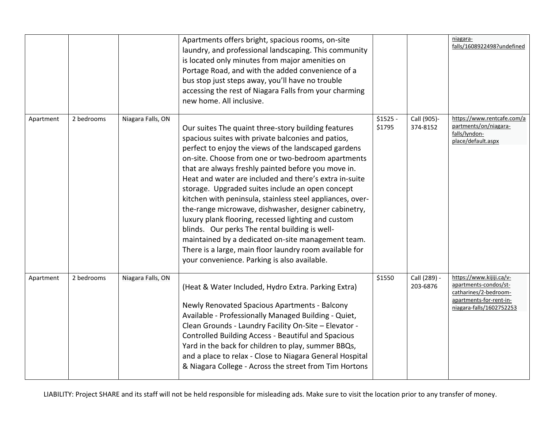|           |            |                   | Apartments offers bright, spacious rooms, on-site<br>laundry, and professional landscaping. This community<br>is located only minutes from major amenities on<br>Portage Road, and with the added convenience of a<br>bus stop just steps away, you'll have no trouble<br>accessing the rest of Niagara Falls from your charming<br>new home. All inclusive.                                                                                                                                                                                                                                                                                                                                                                                                                                |                     |                          | niagara-<br>falls/1608922498?undefined                                                                                            |
|-----------|------------|-------------------|---------------------------------------------------------------------------------------------------------------------------------------------------------------------------------------------------------------------------------------------------------------------------------------------------------------------------------------------------------------------------------------------------------------------------------------------------------------------------------------------------------------------------------------------------------------------------------------------------------------------------------------------------------------------------------------------------------------------------------------------------------------------------------------------|---------------------|--------------------------|-----------------------------------------------------------------------------------------------------------------------------------|
| Apartment | 2 bedrooms | Niagara Falls, ON | Our suites The quaint three-story building features<br>spacious suites with private balconies and patios,<br>perfect to enjoy the views of the landscaped gardens<br>on-site. Choose from one or two-bedroom apartments<br>that are always freshly painted before you move in.<br>Heat and water are included and there's extra in-suite<br>storage. Upgraded suites include an open concept<br>kitchen with peninsula, stainless steel appliances, over-<br>the-range microwave, dishwasher, designer cabinetry,<br>luxury plank flooring, recessed lighting and custom<br>blinds. Our perks The rental building is well-<br>maintained by a dedicated on-site management team.<br>There is a large, main floor laundry room available for<br>your convenience. Parking is also available. | $$1525 -$<br>\$1795 | Call (905)-<br>374-8152  | https://www.rentcafe.com/a<br>partments/on/niagara-<br>falls/lyndon-<br>place/default.aspx                                        |
| Apartment | 2 bedrooms | Niagara Falls, ON | (Heat & Water Included, Hydro Extra. Parking Extra)<br>Newly Renovated Spacious Apartments - Balcony<br>Available - Professionally Managed Building - Quiet,<br>Clean Grounds - Laundry Facility On-Site - Elevator -<br><b>Controlled Building Access - Beautiful and Spacious</b><br>Yard in the back for children to play, summer BBQs,<br>and a place to relax - Close to Niagara General Hospital<br>& Niagara College - Across the street from Tim Hortons                                                                                                                                                                                                                                                                                                                            | \$1550              | Call (289) -<br>203-6876 | https://www.kijiji.ca/v-<br>apartments-condos/st-<br>catharines/2-bedroom-<br>apartments-for-rent-in-<br>niagara-falls/1602752253 |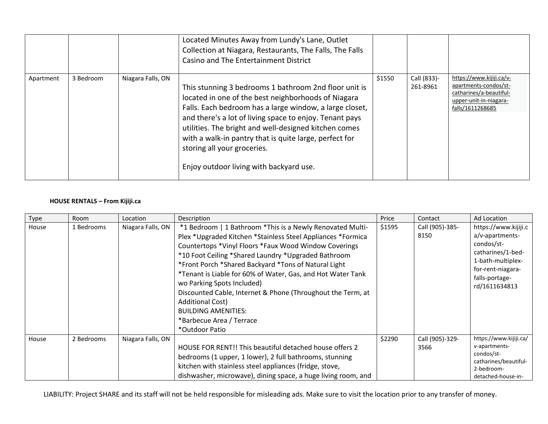|           |           |                   | Located Minutes Away from Lundy's Lane, Outlet<br>Collection at Niagara, Restaurants, The Falls, The Falls<br>Casino and The Entertainment District                                                                                                                                                                                                                                                                             |        |                         |                                                                                                                            |
|-----------|-----------|-------------------|---------------------------------------------------------------------------------------------------------------------------------------------------------------------------------------------------------------------------------------------------------------------------------------------------------------------------------------------------------------------------------------------------------------------------------|--------|-------------------------|----------------------------------------------------------------------------------------------------------------------------|
| Apartment | 3 Bedroom | Niagara Falls, ON | This stunning 3 bedrooms 1 bathroom 2nd floor unit is<br>located in one of the best neighborhoods of Niagara<br>Falls. Each bedroom has a large window, a large closet,<br>and there's a lot of living space to enjoy. Tenant pays<br>utilities. The bright and well-designed kitchen comes<br>with a walk-in pantry that is quite large, perfect for<br>storing all your groceries.<br>Enjoy outdoor living with backyard use. | \$1550 | Call (833)-<br>261-8961 | https://www.kijiji.ca/v-<br>apartments-condos/st-<br>catharines/a-beautiful-<br>upper-unit-in-niagara-<br>falls/1611268685 |

#### **HOUSE RENTALS – From Kijiji.ca**

| Type  | Room       | Location          | Description                                                                                                                                                                                                                                                                                                                                                                                                                                                                                                                                                         | Price  | Contact                 | Ad Location                                                                                                                                             |
|-------|------------|-------------------|---------------------------------------------------------------------------------------------------------------------------------------------------------------------------------------------------------------------------------------------------------------------------------------------------------------------------------------------------------------------------------------------------------------------------------------------------------------------------------------------------------------------------------------------------------------------|--------|-------------------------|---------------------------------------------------------------------------------------------------------------------------------------------------------|
| House | 1 Bedrooms | Niagara Falls, ON | *1 Bedroom   1 Bathroom *This is a Newly Renovated Multi-<br>Plex *Upgraded Kitchen *Stainless Steel Appliances *Formica<br>Countertops *Vinyl Floors *Faux Wood Window Coverings<br>*10 Foot Ceiling *Shared Laundry *Upgraded Bathroom<br>*Front Porch *Shared Backyard *Tons of Natural Light<br>*Tenant is Liable for 60% of Water, Gas, and Hot Water Tank<br>wo Parking Spots Included)<br>Discounted Cable, Internet & Phone (Throughout the Term, at<br><b>Additional Cost)</b><br><b>BUILDING AMENITIES:</b><br>*Barbecue Area / Terrace<br>*Outdoor Patio | \$1595 | Call (905)-385-<br>8150 | https://www.kijiji.c<br>a/v-apartments-<br>condos/st-<br>catharines/1-bed-<br>1-bath-multiplex-<br>for-rent-niagara-<br>falls-portage-<br>rd/1611634813 |
| House | 2 Bedrooms | Niagara Falls, ON | HOUSE FOR RENT!! This beautiful detached house offers 2<br>bedrooms (1 upper, 1 lower), 2 full bathrooms, stunning<br>kitchen with stainless steel appliances (fridge, stove,<br>dishwasher, microwave), dining space, a huge living room, and                                                                                                                                                                                                                                                                                                                      | \$2290 | Call (905)-329-<br>3566 | https://www.kijiji.ca/<br>v-apartments-<br>condos/st-<br>catharines/beautiful-<br>2-bedroom-<br>detached-house-in-                                      |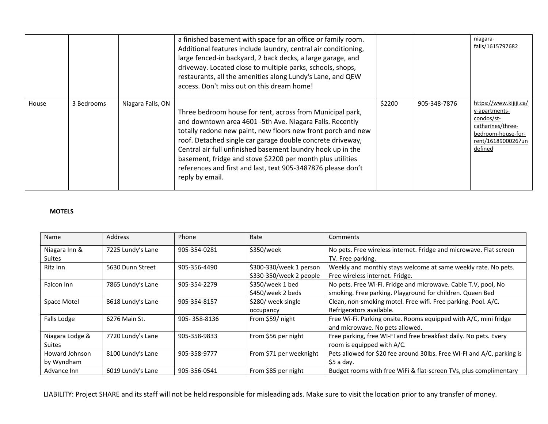|       |            |                   | a finished basement with space for an office or family room.<br>Additional features include laundry, central air conditioning,<br>large fenced-in backyard, 2 back decks, a large garage, and<br>driveway. Located close to multiple parks, schools, shops,<br>restaurants, all the amenities along Lundy's Lane, and QEW<br>access. Don't miss out on this dream home!                                                                                             |        |              | niagara-<br>falls/1615797682                                                                                                      |
|-------|------------|-------------------|---------------------------------------------------------------------------------------------------------------------------------------------------------------------------------------------------------------------------------------------------------------------------------------------------------------------------------------------------------------------------------------------------------------------------------------------------------------------|--------|--------------|-----------------------------------------------------------------------------------------------------------------------------------|
| House | 3 Bedrooms | Niagara Falls, ON | Three bedroom house for rent, across from Municipal park,<br>and downtown area 4601 -5th Ave. Niagara Falls. Recently<br>totally redone new paint, new floors new front porch and new<br>roof. Detached single car garage double concrete driveway,<br>Central air full unfinished basement laundry hook up in the<br>basement, fridge and stove \$2200 per month plus utilities<br>references and first and last, text 905-3487876 please don't<br>reply by email. | \$2200 | 905-348-7876 | https://www.kijiji.ca/<br>v-apartments-<br>condos/st-<br>catharines/three-<br>bedroom-house-for-<br>rent/1618900026?un<br>defined |

#### **MOTELS**

| Name            | <b>Address</b>    | Phone        | Rate                                                                                      | Comments                                                               |
|-----------------|-------------------|--------------|-------------------------------------------------------------------------------------------|------------------------------------------------------------------------|
| Niagara Inn &   | 7225 Lundy's Lane | 905-354-0281 | \$350/week                                                                                | No pets. Free wireless internet. Fridge and microwave. Flat screen     |
| Suites          |                   |              |                                                                                           | TV. Free parking.                                                      |
| Ritz Inn        | 5630 Dunn Street  | 905-356-4490 | Weekly and monthly stays welcome at same weekly rate. No pets.<br>\$300-330/week 1 person |                                                                        |
|                 |                   |              | \$330-350/week 2 people                                                                   | Free wireless internet. Fridge.                                        |
| Falcon Inn      | 7865 Lundy's Lane | 905-354-2279 | \$350/week 1 bed                                                                          | No pets. Free Wi-Fi. Fridge and microwave. Cable T.V, pool, No         |
|                 |                   |              | \$450/week 2 beds                                                                         | smoking. Free parking. Playground for children. Queen Bed              |
| Space Motel     | 8618 Lundy's Lane | 905-354-8157 | \$280/ week single                                                                        | Clean, non-smoking motel. Free wifi. Free parking. Pool. A/C.          |
|                 |                   |              | occupancy                                                                                 | Refrigerators available.                                               |
| Falls Lodge     | 6276 Main St.     | 905-358-8136 | From \$59/ night                                                                          | Free Wi-Fi. Parking onsite. Rooms equipped with A/C, mini fridge       |
|                 |                   |              |                                                                                           | and microwave. No pets allowed.                                        |
| Niagara Lodge & | 7720 Lundy's Lane | 905-358-9833 | From \$56 per night                                                                       | Free parking, free WI-FI and free breakfast daily. No pets. Every      |
| Suites          |                   |              |                                                                                           | room is equipped with A/C.                                             |
| Howard Johnson  | 8100 Lundy's Lane | 905-358-9777 | From \$71 per weeknight                                                                   | Pets allowed for \$20 fee around 30lbs. Free WI-FI and A/C, parking is |
| by Wyndham      |                   |              |                                                                                           | $$5a$ day.                                                             |
| Advance Inn     | 6019 Lundy's Lane | 905-356-0541 | From \$85 per night                                                                       | Budget rooms with free WiFi & flat-screen TVs, plus complimentary      |